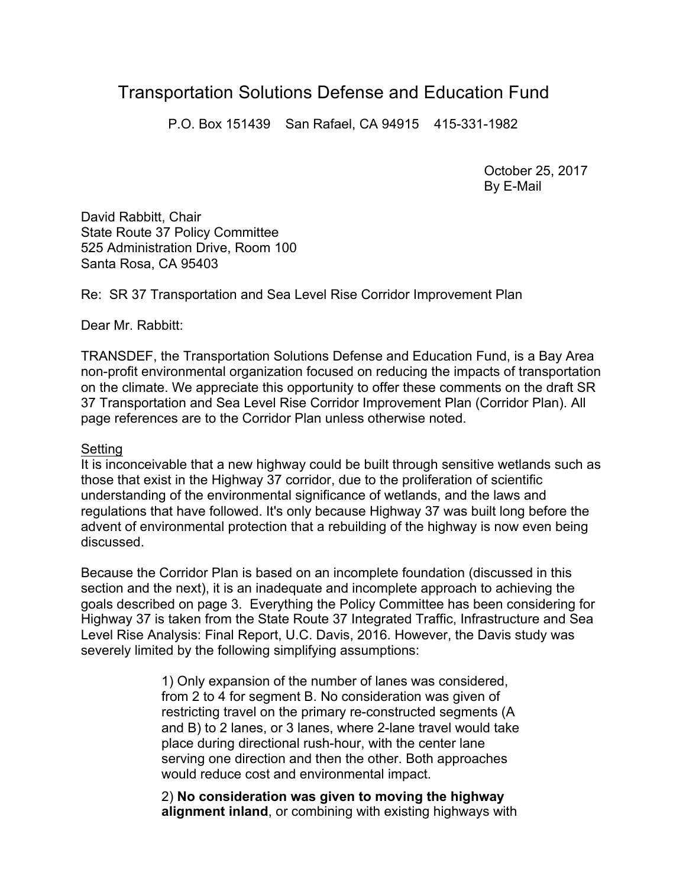# Transportation Solutions Defense and Education Fund

P.O. Box 151439 San Rafael, CA 94915 415-331-1982

October 25, 2017 By E-Mail

David Rabbitt, Chair State Route 37 Policy Committee 525 Administration Drive, Room 100 Santa Rosa, CA 95403

Re: SR 37 Transportation and Sea Level Rise Corridor Improvement Plan

Dear Mr. Rabbitt:

TRANSDEF, the Transportation Solutions Defense and Education Fund, is a Bay Area non-profit environmental organization focused on reducing the impacts of transportation on the climate. We appreciate this opportunity to offer these comments on the draft SR 37 Transportation and Sea Level Rise Corridor Improvement Plan (Corridor Plan). All page references are to the Corridor Plan unless otherwise noted.

#### Setting

It is inconceivable that a new highway could be built through sensitive wetlands such as those that exist in the Highway 37 corridor, due to the proliferation of scientific understanding of the environmental significance of wetlands, and the laws and regulations that have followed. It's only because Highway 37 was built long before the advent of environmental protection that a rebuilding of the highway is now even being discussed.

Because the Corridor Plan is based on an incomplete foundation (discussed in this section and the next), it is an inadequate and incomplete approach to achieving the goals described on page 3. Everything the Policy Committee has been considering for Highway 37 is taken from the State Route 37 Integrated Traffic, Infrastructure and Sea Level Rise Analysis: Final Report, U.C. Davis, 2016. However, the Davis study was severely limited by the following simplifying assumptions:

> 1) Only expansion of the number of lanes was considered, from 2 to 4 for segment B. No consideration was given of restricting travel on the primary re-constructed segments (A and B) to 2 lanes, or 3 lanes, where 2-lane travel would take place during directional rush-hour, with the center lane serving one direction and then the other. Both approaches would reduce cost and environmental impact.

> 2) **No consideration was given to moving the highway alignment inland**, or combining with existing highways with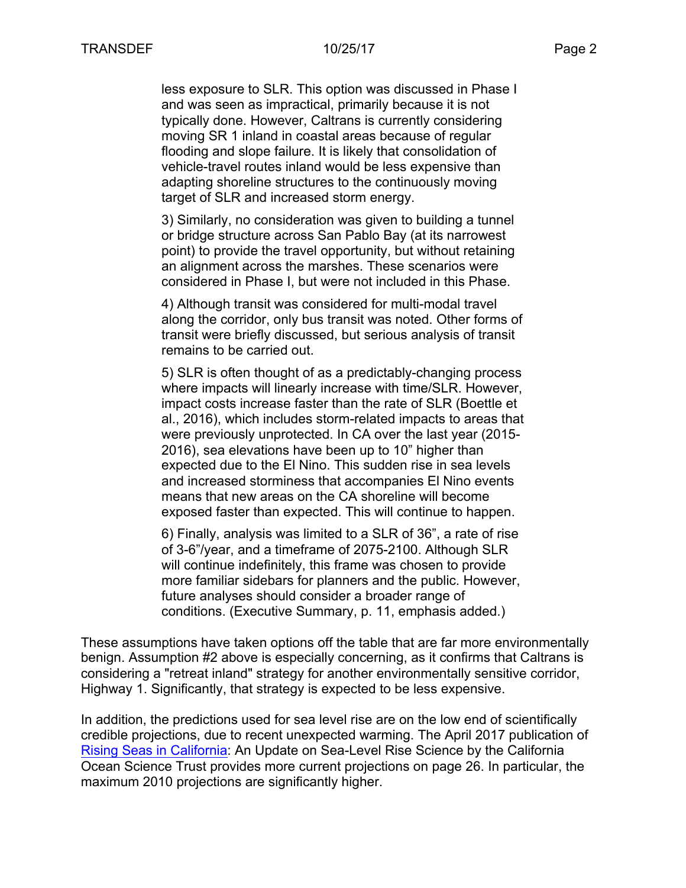less exposure to SLR. This option was discussed in Phase I and was seen as impractical, primarily because it is not typically done. However, Caltrans is currently considering moving SR 1 inland in coastal areas because of regular flooding and slope failure. It is likely that consolidation of vehicle-travel routes inland would be less expensive than adapting shoreline structures to the continuously moving target of SLR and increased storm energy.

3) Similarly, no consideration was given to building a tunnel or bridge structure across San Pablo Bay (at its narrowest point) to provide the travel opportunity, but without retaining an alignment across the marshes. These scenarios were considered in Phase I, but were not included in this Phase.

4) Although transit was considered for multi-modal travel along the corridor, only bus transit was noted. Other forms of transit were briefly discussed, but serious analysis of transit remains to be carried out.

5) SLR is often thought of as a predictably-changing process where impacts will linearly increase with time/SLR. However, impact costs increase faster than the rate of SLR (Boettle et al., 2016), which includes storm-related impacts to areas that were previously unprotected. In CA over the last year (2015- 2016), sea elevations have been up to 10" higher than expected due to the El Nino. This sudden rise in sea levels and increased storminess that accompanies El Nino events means that new areas on the CA shoreline will become exposed faster than expected. This will continue to happen.

6) Finally, analysis was limited to a SLR of 36", a rate of rise of 3-6"/year, and a timeframe of 2075-2100. Although SLR will continue indefinitely, this frame was chosen to provide more familiar sidebars for planners and the public. However, future analyses should consider a broader range of conditions. (Executive Summary, p. 11, emphasis added.)

These assumptions have taken options off the table that are far more environmentally benign. Assumption #2 above is especially concerning, as it confirms that Caltrans is considering a "retreat inland" strategy for another environmentally sensitive corridor, Highway 1. Significantly, that strategy is expected to be less expensive.

In addition, the predictions used for sea level rise are on the low end of scientifically credible projections, due to recent unexpected warming. The April 2017 publication of Rising Seas in California: An Update on Sea-Level Rise Science by the California Ocean Science Trust provides more current projections on page 26. In particular, the maximum 2010 projections are significantly higher.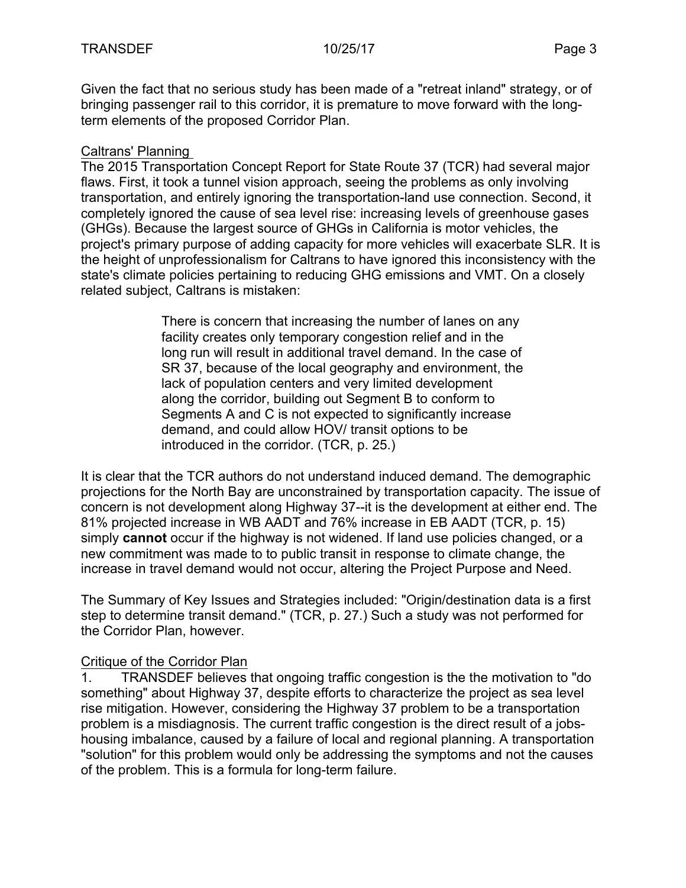Given the fact that no serious study has been made of a "retreat inland" strategy, or of bringing passenger rail to this corridor, it is premature to move forward with the longterm elements of the proposed Corridor Plan.

## Caltrans' Planning

The 2015 Transportation Concept Report for State Route 37 (TCR) had several major flaws. First, it took a tunnel vision approach, seeing the problems as only involving transportation, and entirely ignoring the transportation-land use connection. Second, it completely ignored the cause of sea level rise: increasing levels of greenhouse gases (GHGs). Because the largest source of GHGs in California is motor vehicles, the project's primary purpose of adding capacity for more vehicles will exacerbate SLR. It is the height of unprofessionalism for Caltrans to have ignored this inconsistency with the state's climate policies pertaining to reducing GHG emissions and VMT. On a closely related subject, Caltrans is mistaken:

> There is concern that increasing the number of lanes on any facility creates only temporary congestion relief and in the long run will result in additional travel demand. In the case of SR 37, because of the local geography and environment, the lack of population centers and very limited development along the corridor, building out Segment B to conform to Segments A and C is not expected to significantly increase demand, and could allow HOV/ transit options to be introduced in the corridor. (TCR, p. 25.)

It is clear that the TCR authors do not understand induced demand. The demographic projections for the North Bay are unconstrained by transportation capacity. The issue of concern is not development along Highway 37--it is the development at either end. The 81% projected increase in WB AADT and 76% increase in EB AADT (TCR, p. 15) simply **cannot** occur if the highway is not widened. If land use policies changed, or a new commitment was made to to public transit in response to climate change, the increase in travel demand would not occur, altering the Project Purpose and Need.

The Summary of Key Issues and Strategies included: "Origin/destination data is a first step to determine transit demand." (TCR, p. 27.) Such a study was not performed for the Corridor Plan, however.

### Critique of the Corridor Plan

1. TRANSDEF believes that ongoing traffic congestion is the the motivation to "do something" about Highway 37, despite efforts to characterize the project as sea level rise mitigation. However, considering the Highway 37 problem to be a transportation problem is a misdiagnosis. The current traffic congestion is the direct result of a jobshousing imbalance, caused by a failure of local and regional planning. A transportation "solution" for this problem would only be addressing the symptoms and not the causes of the problem. This is a formula for long-term failure.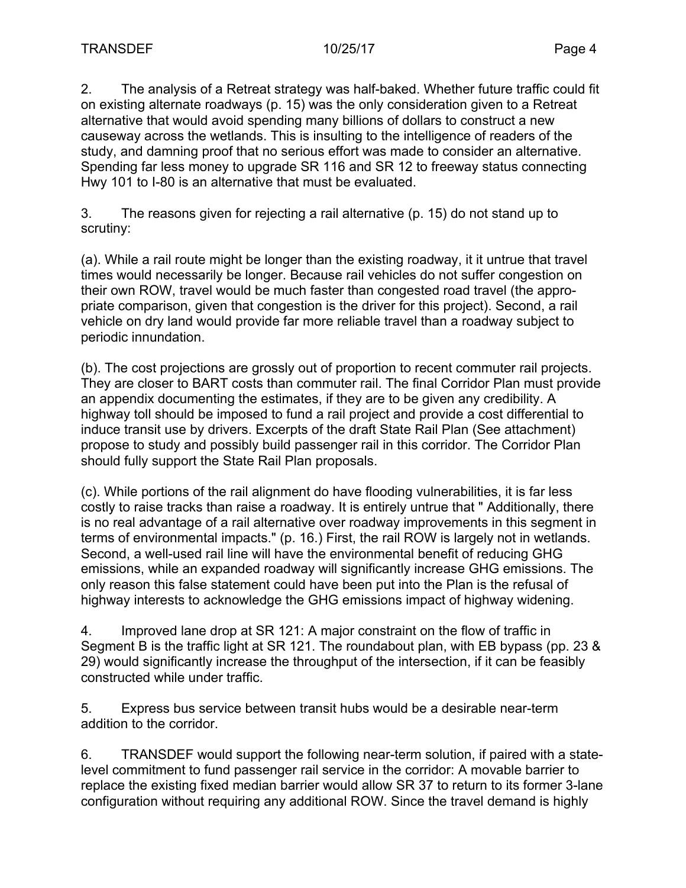2. The analysis of a Retreat strategy was half-baked. Whether future traffic could fit on existing alternate roadways (p. 15) was the only consideration given to a Retreat alternative that would avoid spending many billions of dollars to construct a new causeway across the wetlands. This is insulting to the intelligence of readers of the study, and damning proof that no serious effort was made to consider an alternative. Spending far less money to upgrade SR 116 and SR 12 to freeway status connecting Hwy 101 to I-80 is an alternative that must be evaluated.

3. The reasons given for rejecting a rail alternative (p. 15) do not stand up to scrutiny:

(a). While a rail route might be longer than the existing roadway, it it untrue that travel times would necessarily be longer. Because rail vehicles do not suffer congestion on their own ROW, travel would be much faster than congested road travel (the appropriate comparison, given that congestion is the driver for this project). Second, a rail vehicle on dry land would provide far more reliable travel than a roadway subject to periodic innundation.

(b). The cost projections are grossly out of proportion to recent commuter rail projects. They are closer to BART costs than commuter rail. The final Corridor Plan must provide an appendix documenting the estimates, if they are to be given any credibility. A highway toll should be imposed to fund a rail project and provide a cost differential to induce transit use by drivers. Excerpts of the draft State Rail Plan (See attachment) propose to study and possibly build passenger rail in this corridor. The Corridor Plan should fully support the State Rail Plan proposals.

(c). While portions of the rail alignment do have flooding vulnerabilities, it is far less costly to raise tracks than raise a roadway. It is entirely untrue that " Additionally, there is no real advantage of a rail alternative over roadway improvements in this segment in terms of environmental impacts." (p. 16.) First, the rail ROW is largely not in wetlands. Second, a well-used rail line will have the environmental benefit of reducing GHG emissions, while an expanded roadway will significantly increase GHG emissions. The only reason this false statement could have been put into the Plan is the refusal of highway interests to acknowledge the GHG emissions impact of highway widening.

4. Improved lane drop at SR 121: A major constraint on the flow of traffic in Segment B is the traffic light at SR 121. The roundabout plan, with EB bypass (pp. 23 & 29) would significantly increase the throughput of the intersection, if it can be feasibly constructed while under traffic.

5. Express bus service between transit hubs would be a desirable near-term addition to the corridor.

6. TRANSDEF would support the following near-term solution, if paired with a statelevel commitment to fund passenger rail service in the corridor: A movable barrier to replace the existing fixed median barrier would allow SR 37 to return to its former 3-lane configuration without requiring any additional ROW. Since the travel demand is highly